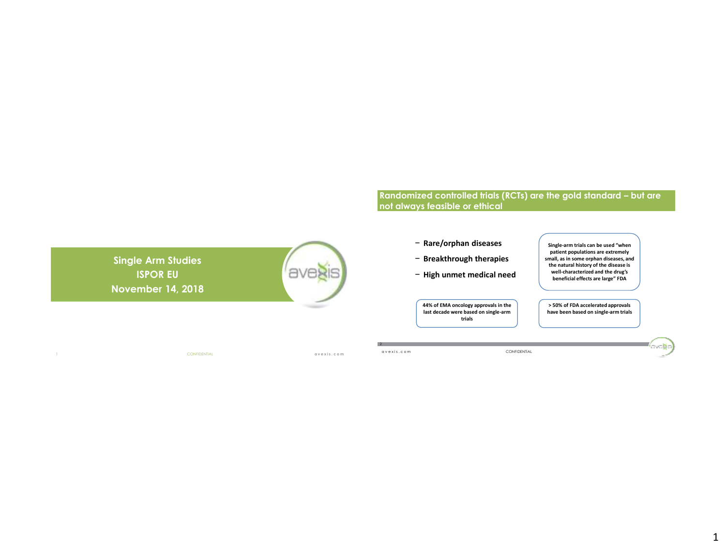# **Randomized controlled trials (RCTs) are the gold standard – but are not always feasible or ethical**

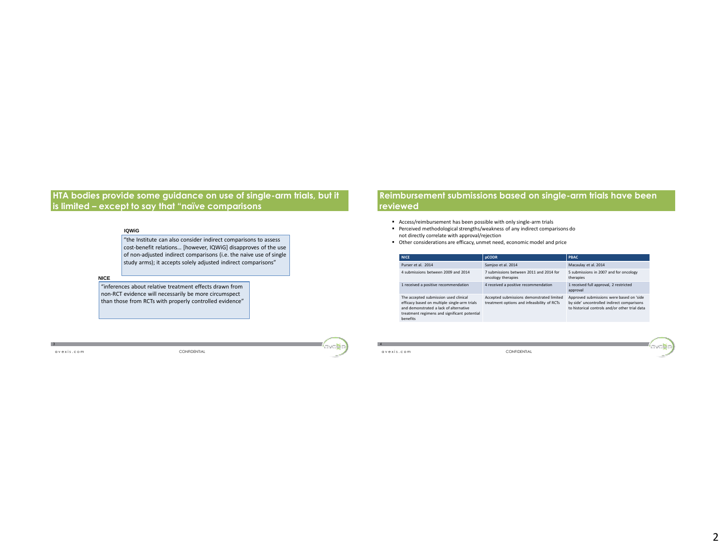## **HTA bodies provide some guidance on use of single-arm trials, but it is limited – except to say that "naïve comparisons**

### **IQWiG**

"the Institute can also consider indirect comparisons to assess cost-benefit relations… [however, IQWiG] disapproves of the use of non-adjusted indirect comparisons (i.e. the naive use of single study arms); it accepts solely adjusted indirect comparisons"

### **NICE**

"inferences about relative treatment effects drawn from non-RCT evidence will necessarily be more circumspect than those from RCTs with properly controlled evidence"

3

a v e x i s . c o m CONFIDENTIAL

## **Reimbursement submissions based on single-arm trials have been reviewed**

- Access/reimbursement has been possible with only single-arm trials
- Perceived methodological strengths/weakness of any indirect comparisons do not directly correlate with approval/rejection
- Other considerations are efficacy, unmet need, economic model and price

| <b>NICE</b>                                                                                                                                                                                        | <b>pCODR</b>                                                                             | <b>PBAC</b>                                                                                                                              |
|----------------------------------------------------------------------------------------------------------------------------------------------------------------------------------------------------|------------------------------------------------------------------------------------------|------------------------------------------------------------------------------------------------------------------------------------------|
| Purser et al. 2014                                                                                                                                                                                 | Samioo et al. 2014                                                                       | Macaulay et al. 2014                                                                                                                     |
| 4 submissions between 2009 and 2014                                                                                                                                                                | 7 submissions between 2011 and 2014 for<br>oncology therapies                            | 5 submissions in 2007 and for oncology<br>therapies                                                                                      |
| 1 received a positive recommendation                                                                                                                                                               | 4 received a positive recommendation                                                     | 1 received full approval, 2 restricted<br>approval                                                                                       |
| The accepted submission used clinical<br>efficacy based on multiple single-arm trials<br>and demonstrated a lack of alternative<br>treatment regimens and significant potential<br><b>benefits</b> | Accepted submissions demonstrated limited<br>treatment options and infeasibility of RCTs | Approved submissions were based on 'side<br>by side' uncontrolled indirect comparisons<br>to historical controls and/or other trial data |

4

ava**g**i

a v e x i s . c o m CONFIDENTIAL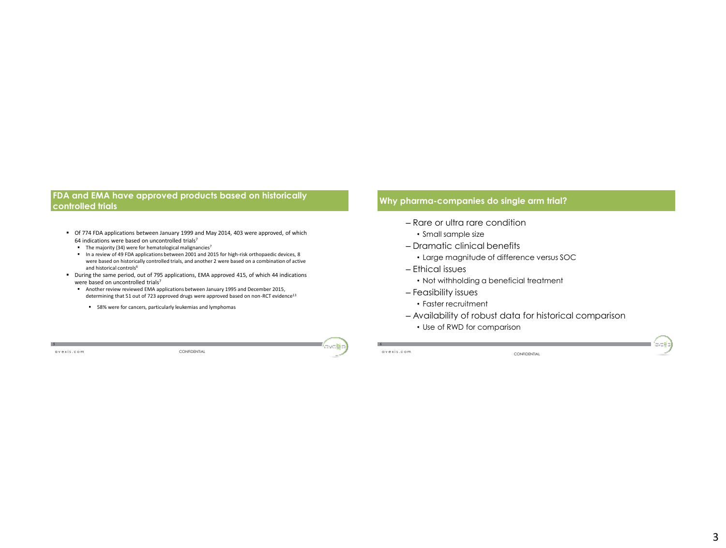## **FDA and EMA have approved products based on historically controlled trials**

- Of 774 FDA applications between January 1999 and May 2014, 403 were approved, of which 64 indications were based on uncontrolled trials<sup>7</sup>
	- The majority (34) were for hematological malignancies<sup>7</sup>
	- In a review of 49 FDA applications between 2001 and 2015 for high-risk orthopaedic devices, 8 were based on historically controlled trials, and another 2 were based on a combination of active and historical controls<sup>6</sup>
- During the same period, out of 795 applications, EMA approved 415, of which 44 indications were based on uncontrolled trials<sup>7</sup>
	- Another review reviewed EMA applications between January 1995 and December 2015, determining that 51 out of 723 approved drugs were approved based on non-RCT evidence<sup>13</sup>
		- 58% were for cancers, particularly leukemias and lymphomas

a v e x i s . c o m CONFIDENTIAL

# **Why pharma-companies do single arm trial?**

- Rare or ultra rare condition
	- Small sample size
- Dramatic clinical benefits
	- Large magnitude of difference versus SOC
- Ethical issues
	- Not withholding a beneficial treatment
- Feasibility issues
	- Faster recruitment
- Availability of robust data for historical comparison
	- Use of RWD for comparison

a v e x i s . c o m

6

CONFIDENTIAL